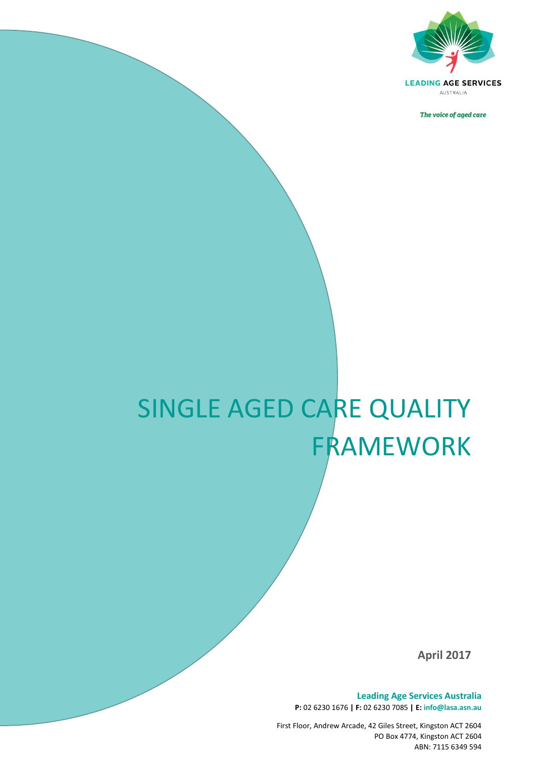

The voice of aged care

# SINGLE AGED CARE QUALITY FRAMEWORK

*The voice of aged care*

**April 2017**

**Leading Age Services Australia P:** 02 6230 1676 **| F:** 02 6230 7085 **| E: info@lasa.asn.au**

First Floor, Andrew Arcade, 42 Giles Street, Kingston ACT 2604 PO Box 4774, Kingston ACT 2604 ABN: 7115 6349 594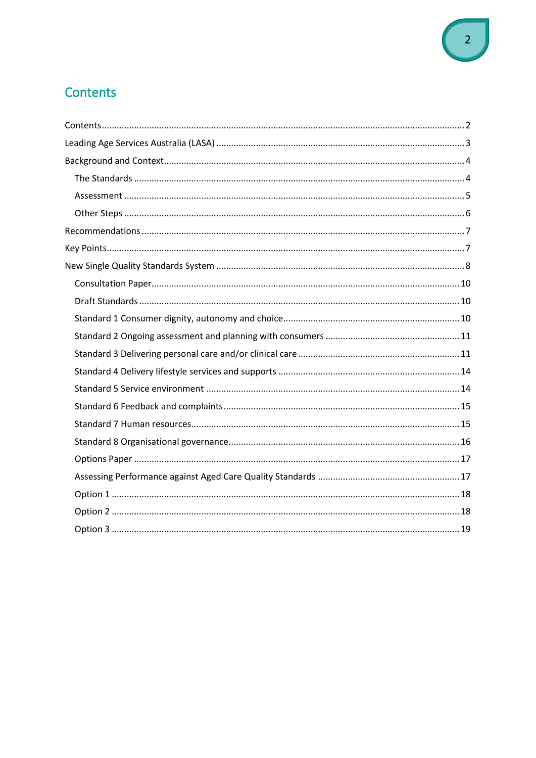## <span id="page-1-0"></span>Contents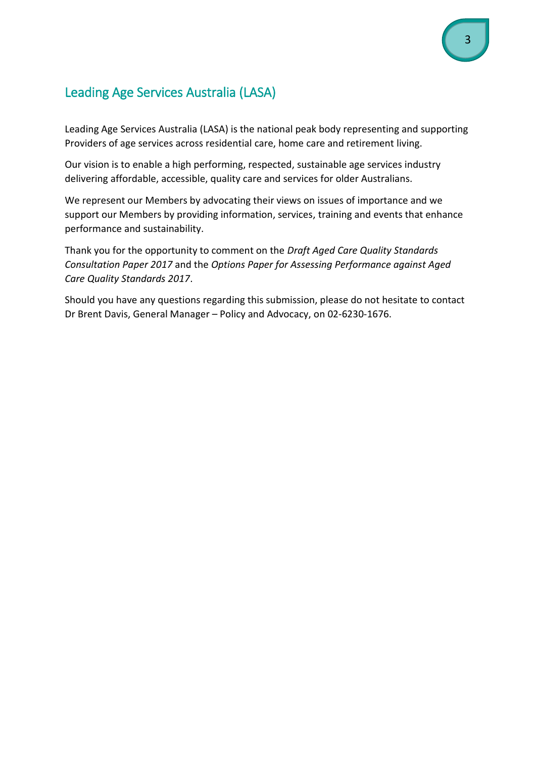## <span id="page-2-0"></span>Leading Age Services Australia (LASA)

Leading Age Services Australia (LASA) is the national peak body representing and supporting Providers of age services across residential care, home care and retirement living.

Our vision is to enable a high performing, respected, sustainable age services industry delivering affordable, accessible, quality care and services for older Australians.

We represent our Members by advocating their views on issues of importance and we support our Members by providing information, services, training and events that enhance performance and sustainability.

Thank you for the opportunity to comment on the *Draft Aged Care Quality Standards Consultation Paper 2017* and the *Options Paper for Assessing Performance against Aged Care Quality Standards 2017*.

Should you have any questions regarding this submission, please do not hesitate to contact Dr Brent Davis, General Manager – Policy and Advocacy, on 02-6230-1676.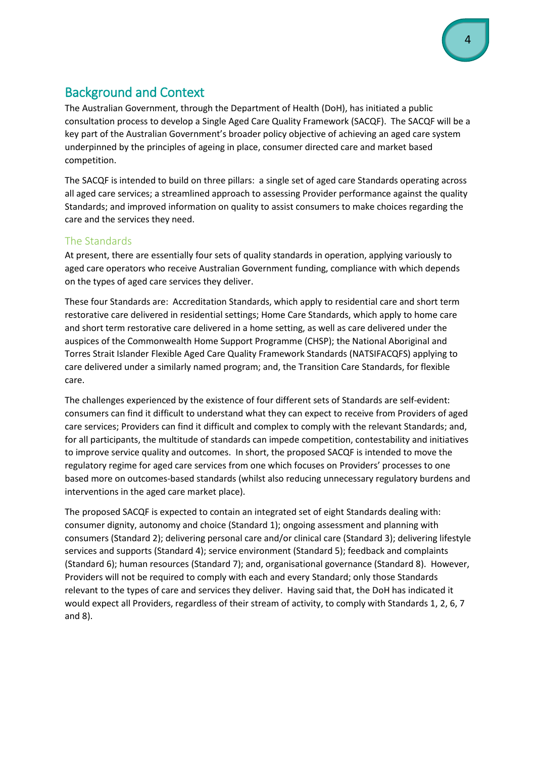## <span id="page-3-0"></span>Background and Context

The Australian Government, through the Department of Health (DoH), has initiated a public consultation process to develop a Single Aged Care Quality Framework (SACQF). The SACQF will be a key part of the Australian Government's broader policy objective of achieving an aged care system underpinned by the principles of ageing in place, consumer directed care and market based competition.

The SACQF is intended to build on three pillars: a single set of aged care Standards operating across all aged care services; a streamlined approach to assessing Provider performance against the quality Standards; and improved information on quality to assist consumers to make choices regarding the care and the services they need.

#### <span id="page-3-1"></span>The Standards

At present, there are essentially four sets of quality standards in operation, applying variously to aged care operators who receive Australian Government funding, compliance with which depends on the types of aged care services they deliver.

These four Standards are: Accreditation Standards, which apply to residential care and short term restorative care delivered in residential settings; Home Care Standards, which apply to home care and short term restorative care delivered in a home setting, as well as care delivered under the auspices of the Commonwealth Home Support Programme (CHSP); the National Aboriginal and Torres Strait Islander Flexible Aged Care Quality Framework Standards (NATSIFACQFS) applying to care delivered under a similarly named program; and, the Transition Care Standards, for flexible care.

The challenges experienced by the existence of four different sets of Standards are self-evident: consumers can find it difficult to understand what they can expect to receive from Providers of aged care services; Providers can find it difficult and complex to comply with the relevant Standards; and, for all participants, the multitude of standards can impede competition, contestability and initiatives to improve service quality and outcomes. In short, the proposed SACQF is intended to move the regulatory regime for aged care services from one which focuses on Providers' processes to one based more on outcomes-based standards (whilst also reducing unnecessary regulatory burdens and interventions in the aged care market place).

The proposed SACQF is expected to contain an integrated set of eight Standards dealing with: consumer dignity, autonomy and choice (Standard 1); ongoing assessment and planning with consumers (Standard 2); delivering personal care and/or clinical care (Standard 3); delivering lifestyle services and supports (Standard 4); service environment (Standard 5); feedback and complaints (Standard 6); human resources (Standard 7); and, organisational governance (Standard 8). However, Providers will not be required to comply with each and every Standard; only those Standards relevant to the types of care and services they deliver. Having said that, the DoH has indicated it would expect all Providers, regardless of their stream of activity, to comply with Standards 1, 2, 6, 7 and 8).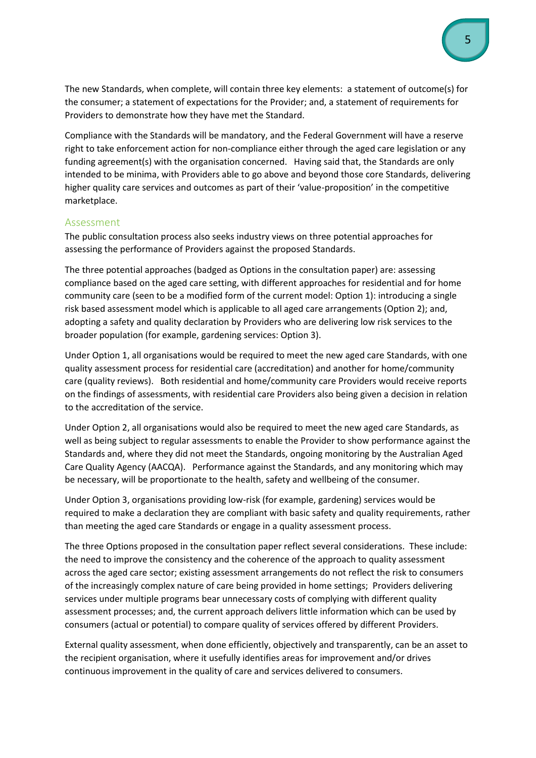The new Standards, when complete, will contain three key elements: a statement of outcome(s) for the consumer; a statement of expectations for the Provider; and, a statement of requirements for Providers to demonstrate how they have met the Standard.

Compliance with the Standards will be mandatory, and the Federal Government will have a reserve right to take enforcement action for non-compliance either through the aged care legislation or any funding agreement(s) with the organisation concerned. Having said that, the Standards are only intended to be minima, with Providers able to go above and beyond those core Standards, delivering higher quality care services and outcomes as part of their 'value-proposition' in the competitive marketplace.

#### <span id="page-4-0"></span>Assessment

The public consultation process also seeks industry views on three potential approaches for assessing the performance of Providers against the proposed Standards.

The three potential approaches (badged as Options in the consultation paper) are: assessing compliance based on the aged care setting, with different approaches for residential and for home community care (seen to be a modified form of the current model: Option 1): introducing a single risk based assessment model which is applicable to all aged care arrangements (Option 2); and, adopting a safety and quality declaration by Providers who are delivering low risk services to the broader population (for example, gardening services: Option 3).

Under Option 1, all organisations would be required to meet the new aged care Standards, with one quality assessment process for residential care (accreditation) and another for home/community care (quality reviews). Both residential and home/community care Providers would receive reports on the findings of assessments, with residential care Providers also being given a decision in relation to the accreditation of the service.

Under Option 2, all organisations would also be required to meet the new aged care Standards, as well as being subject to regular assessments to enable the Provider to show performance against the Standards and, where they did not meet the Standards, ongoing monitoring by the Australian Aged Care Quality Agency (AACQA). Performance against the Standards, and any monitoring which may be necessary, will be proportionate to the health, safety and wellbeing of the consumer.

Under Option 3, organisations providing low-risk (for example, gardening) services would be required to make a declaration they are compliant with basic safety and quality requirements, rather than meeting the aged care Standards or engage in a quality assessment process.

The three Options proposed in the consultation paper reflect several considerations. These include: the need to improve the consistency and the coherence of the approach to quality assessment across the aged care sector; existing assessment arrangements do not reflect the risk to consumers of the increasingly complex nature of care being provided in home settings; Providers delivering services under multiple programs bear unnecessary costs of complying with different quality assessment processes; and, the current approach delivers little information which can be used by consumers (actual or potential) to compare quality of services offered by different Providers.

External quality assessment, when done efficiently, objectively and transparently, can be an asset to the recipient organisation, where it usefully identifies areas for improvement and/or drives continuous improvement in the quality of care and services delivered to consumers.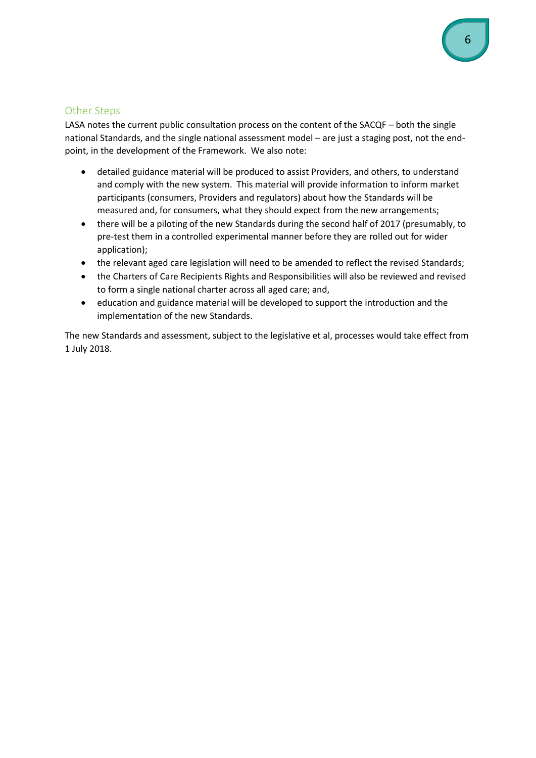#### <span id="page-5-0"></span>Other Steps

LASA notes the current public consultation process on the content of the SACQF – both the single national Standards, and the single national assessment model – are just a staging post, not the endpoint, in the development of the Framework. We also note:

- detailed guidance material will be produced to assist Providers, and others, to understand and comply with the new system. This material will provide information to inform market participants (consumers, Providers and regulators) about how the Standards will be measured and, for consumers, what they should expect from the new arrangements;
- there will be a piloting of the new Standards during the second half of 2017 (presumably, to pre-test them in a controlled experimental manner before they are rolled out for wider application);
- the relevant aged care legislation will need to be amended to reflect the revised Standards;
- the Charters of Care Recipients Rights and Responsibilities will also be reviewed and revised to form a single national charter across all aged care; and,
- education and guidance material will be developed to support the introduction and the implementation of the new Standards.

The new Standards and assessment, subject to the legislative et al, processes would take effect from 1 July 2018.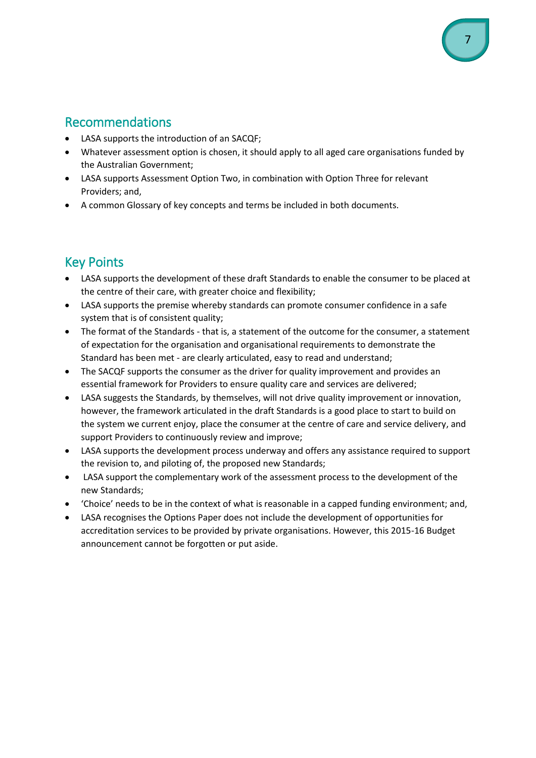### <span id="page-6-0"></span>Recommendations

- LASA supports the introduction of an SACQF;
- Whatever assessment option is chosen, it should apply to all aged care organisations funded by the Australian Government;
- LASA supports Assessment Option Two, in combination with Option Three for relevant Providers; and,
- A common Glossary of key concepts and terms be included in both documents.

## <span id="page-6-1"></span>Key Points

- LASA supports the development of these draft Standards to enable the consumer to be placed at the centre of their care, with greater choice and flexibility;
- LASA supports the premise whereby standards can promote consumer confidence in a safe system that is of consistent quality;
- The format of the Standards that is, a statement of the outcome for the consumer, a statement of expectation for the organisation and organisational requirements to demonstrate the Standard has been met - are clearly articulated, easy to read and understand;
- The SACQF supports the consumer as the driver for quality improvement and provides an essential framework for Providers to ensure quality care and services are delivered;
- LASA suggests the Standards, by themselves, will not drive quality improvement or innovation, however, the framework articulated in the draft Standards is a good place to start to build on the system we current enjoy, place the consumer at the centre of care and service delivery, and support Providers to continuously review and improve;
- LASA supports the development process underway and offers any assistance required to support the revision to, and piloting of, the proposed new Standards;
- LASA support the complementary work of the assessment process to the development of the new Standards;
- 'Choice' needs to be in the context of what is reasonable in a capped funding environment; and,
- LASA recognises the Options Paper does not include the development of opportunities for accreditation services to be provided by private organisations. However, this 2015-16 Budget announcement cannot be forgotten or put aside.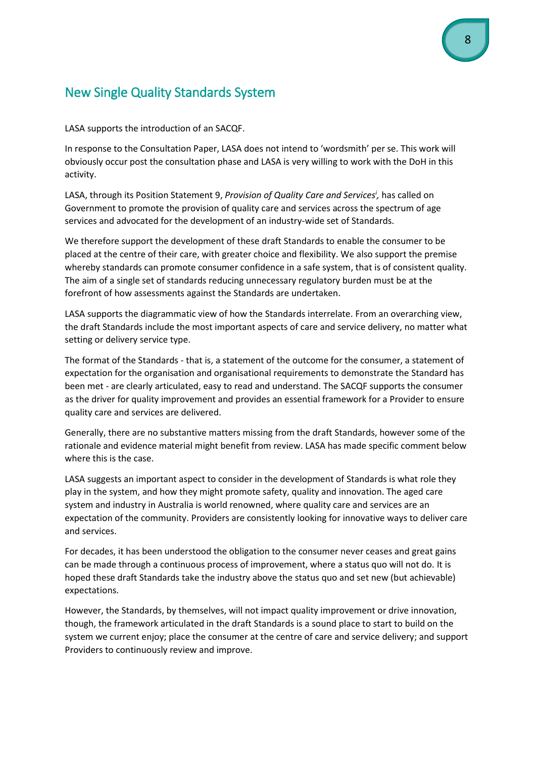## <span id="page-7-0"></span>New Single Quality Standards System

LASA supports the introduction of an SACQF.

In response to the Consultation Paper, LASA does not intend to 'wordsmith' per se. This work will obviously occur post the consultation phase and LASA is very willing to work with the DoH in this activity.

LASA, through its Position Statement 9, *Provision of Quality Care and Services<sup>i</sup> ,* has called on Government to promote the provision of quality care and services across the spectrum of age services and advocated for the development of an industry-wide set of Standards.

We therefore support the development of these draft Standards to enable the consumer to be placed at the centre of their care, with greater choice and flexibility. We also support the premise whereby standards can promote consumer confidence in a safe system, that is of consistent quality. The aim of a single set of standards reducing unnecessary regulatory burden must be at the forefront of how assessments against the Standards are undertaken.

LASA supports the diagrammatic view of how the Standards interrelate. From an overarching view, the draft Standards include the most important aspects of care and service delivery, no matter what setting or delivery service type.

The format of the Standards - that is, a statement of the outcome for the consumer, a statement of expectation for the organisation and organisational requirements to demonstrate the Standard has been met - are clearly articulated, easy to read and understand. The SACQF supports the consumer as the driver for quality improvement and provides an essential framework for a Provider to ensure quality care and services are delivered.

Generally, there are no substantive matters missing from the draft Standards, however some of the rationale and evidence material might benefit from review. LASA has made specific comment below where this is the case.

LASA suggests an important aspect to consider in the development of Standards is what role they play in the system, and how they might promote safety, quality and innovation. The aged care system and industry in Australia is world renowned, where quality care and services are an expectation of the community. Providers are consistently looking for innovative ways to deliver care and services.

For decades, it has been understood the obligation to the consumer never ceases and great gains can be made through a continuous process of improvement, where a status quo will not do. It is hoped these draft Standards take the industry above the status quo and set new (but achievable) expectations.

However, the Standards, by themselves, will not impact quality improvement or drive innovation, though, the framework articulated in the draft Standards is a sound place to start to build on the system we current enjoy; place the consumer at the centre of care and service delivery; and support Providers to continuously review and improve.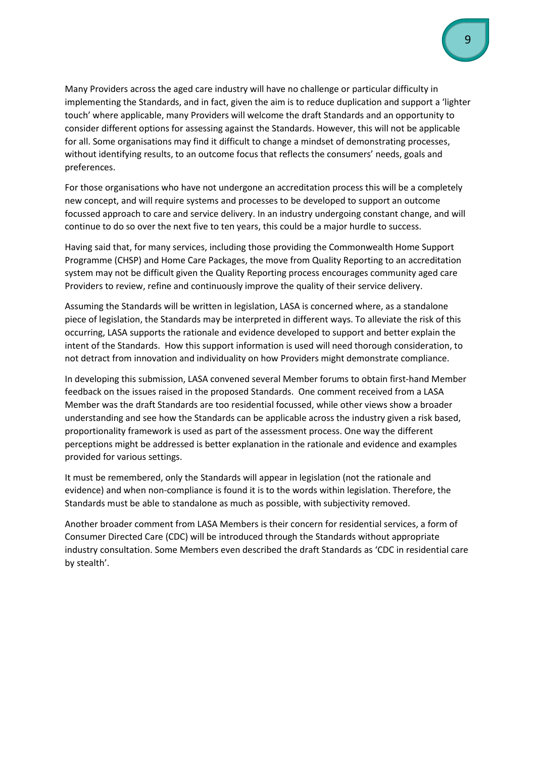Many Providers across the aged care industry will have no challenge or particular difficulty in implementing the Standards, and in fact, given the aim is to reduce duplication and support a 'lighter touch' where applicable, many Providers will welcome the draft Standards and an opportunity to consider different options for assessing against the Standards. However, this will not be applicable for all. Some organisations may find it difficult to change a mindset of demonstrating processes, without identifying results, to an outcome focus that reflects the consumers' needs, goals and preferences.

For those organisations who have not undergone an accreditation process this will be a completely new concept, and will require systems and processes to be developed to support an outcome focussed approach to care and service delivery. In an industry undergoing constant change, and will continue to do so over the next five to ten years, this could be a major hurdle to success.

Having said that, for many services, including those providing the Commonwealth Home Support Programme (CHSP) and Home Care Packages, the move from Quality Reporting to an accreditation system may not be difficult given the Quality Reporting process encourages community aged care Providers to review, refine and continuously improve the quality of their service delivery.

Assuming the Standards will be written in legislation, LASA is concerned where, as a standalone piece of legislation, the Standards may be interpreted in different ways. To alleviate the risk of this occurring, LASA supports the rationale and evidence developed to support and better explain the intent of the Standards. How this support information is used will need thorough consideration, to not detract from innovation and individuality on how Providers might demonstrate compliance.

In developing this submission, LASA convened several Member forums to obtain first-hand Member feedback on the issues raised in the proposed Standards. One comment received from a LASA Member was the draft Standards are too residential focussed, while other views show a broader understanding and see how the Standards can be applicable across the industry given a risk based, proportionality framework is used as part of the assessment process. One way the different perceptions might be addressed is better explanation in the rationale and evidence and examples provided for various settings.

It must be remembered, only the Standards will appear in legislation (not the rationale and evidence) and when non-compliance is found it is to the words within legislation. Therefore, the Standards must be able to standalone as much as possible, with subjectivity removed.

Another broader comment from LASA Members is their concern for residential services, a form of Consumer Directed Care (CDC) will be introduced through the Standards without appropriate industry consultation. Some Members even described the draft Standards as 'CDC in residential care by stealth'.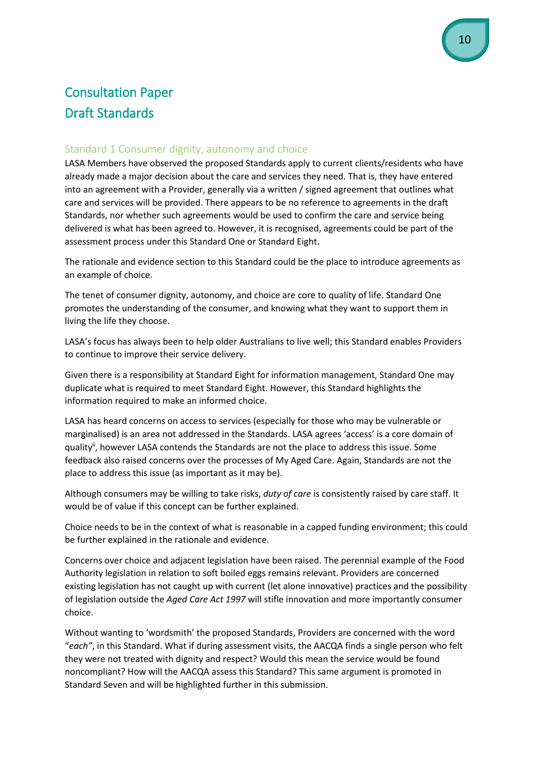## <span id="page-9-1"></span><span id="page-9-0"></span>Consultation Paper Draft Standards

#### <span id="page-9-2"></span>Standard 1 Consumer dignity, autonomy and choice

LASA Members have observed the proposed Standards apply to current clients/residents who have already made a major decision about the care and services they need. That is, they have entered into an agreement with a Provider, generally via a written / signed agreement that outlines what care and services will be provided. There appears to be no reference to agreements in the draft Standards, nor whether such agreements would be used to confirm the care and service being delivered is what has been agreed to. However, it is recognised, agreements could be part of the assessment process under this Standard One or Standard Eight.

The rationale and evidence section to this Standard could be the place to introduce agreements as an example of choice.

The tenet of consumer dignity, autonomy, and choice are core to quality of life. Standard One promotes the understanding of the consumer, and knowing what they want to support them in living the life they choose.

LASA's focus has always been to help older Australians to live well; this Standard enables Providers to continue to improve their service delivery.

Given there is a responsibility at Standard Eight for information management, Standard One may duplicate what is required to meet Standard Eight. However, this Standard highlights the information required to make an informed choice.

LASA has heard concerns on access to services (especially for those who may be vulnerable or marginalised) is an area not addressed in the Standards. LASA agrees 'access' is a core domain of quality<sup>ii</sup>, however LASA contends the Standards are not the place to address this issue. Some feedback also raised concerns over the processes of My Aged Care. Again, Standards are not the place to address this issue (as important as it may be).

Although consumers may be willing to take risks, *duty of care* is consistently raised by care staff. It would be of value if this concept can be further explained.

Choice needs to be in the context of what is reasonable in a capped funding environment; this could be further explained in the rationale and evidence.

Concerns over choice and adjacent legislation have been raised. The perennial example of the Food Authority legislation in relation to soft boiled eggs remains relevant. Providers are concerned existing legislation has not caught up with current (let alone innovative) practices and the possibility of legislation outside the *Aged Care Act 1997* will stifle innovation and more importantly consumer choice.

Without wanting to 'wordsmith' the proposed Standards, Providers are concerned with the word "*each"*, in this Standard. What if during assessment visits, the AACQA finds a single person who felt they were not treated with dignity and respect? Would this mean the service would be found noncompliant? How will the AACQA assess this Standard? This same argument is promoted in Standard Seven and will be highlighted further in this submission.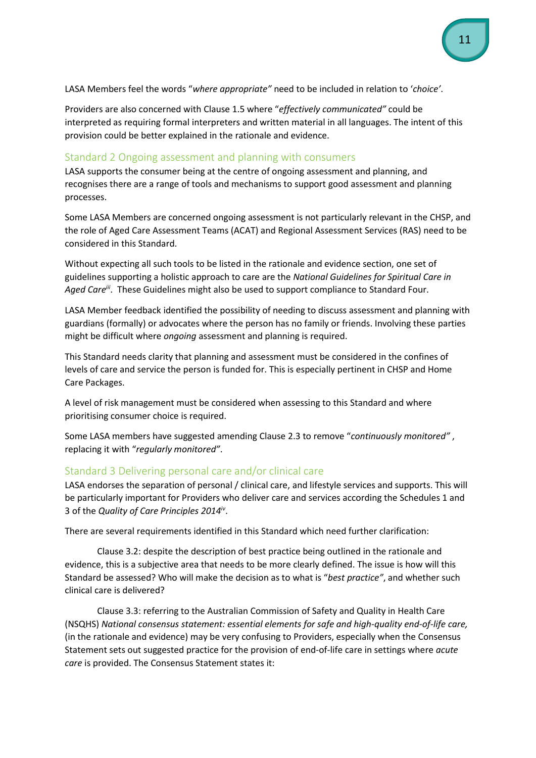LASA Members feel the words "*where appropriate"* need to be included in relation to '*choice'*.

Providers are also concerned with Clause 1.5 where "*effectively communicated"* could be interpreted as requiring formal interpreters and written material in all languages. The intent of this provision could be better explained in the rationale and evidence.

#### <span id="page-10-0"></span>Standard 2 Ongoing assessment and planning with consumers

LASA supports the consumer being at the centre of ongoing assessment and planning, and recognises there are a range of tools and mechanisms to support good assessment and planning processes.

Some LASA Members are concerned ongoing assessment is not particularly relevant in the CHSP, and the role of Aged Care Assessment Teams (ACAT) and Regional Assessment Services (RAS) need to be considered in this Standard.

Without expecting all such tools to be listed in the rationale and evidence section, one set of guidelines supporting a holistic approach to care are the *National Guidelines for Spiritual Care in*  Aged Care<sup>iii</sup>. These Guidelines might also be used to support compliance to Standard Four.

LASA Member feedback identified the possibility of needing to discuss assessment and planning with guardians (formally) or advocates where the person has no family or friends. Involving these parties might be difficult where *ongoing* assessment and planning is required.

This Standard needs clarity that planning and assessment must be considered in the confines of levels of care and service the person is funded for. This is especially pertinent in CHSP and Home Care Packages.

A level of risk management must be considered when assessing to this Standard and where prioritising consumer choice is required.

Some LASA members have suggested amending Clause 2.3 to remove "*continuously monitored"* , replacing it with "*regularly monitored"*.

#### <span id="page-10-1"></span>Standard 3 Delivering personal care and/or clinical care

LASA endorses the separation of personal / clinical care, and lifestyle services and supports. This will be particularly important for Providers who deliver care and services according the Schedules 1 and 3 of the *Quality of Care Principles 2014iv* .

There are several requirements identified in this Standard which need further clarification:

Clause 3.2: despite the description of best practice being outlined in the rationale and evidence, this is a subjective area that needs to be more clearly defined. The issue is how will this Standard be assessed? Who will make the decision as to what is "*best practice"*, and whether such clinical care is delivered?

Clause 3.3: referring to the Australian Commission of Safety and Quality in Health Care (NSQHS) *National consensus statement: essential elements for safe and high-quality end-of-life care,*  (in the rationale and evidence) may be very confusing to Providers, especially when the Consensus Statement sets out suggested practice for the provision of end-of-life care in settings where *acute care* is provided. The Consensus Statement states it: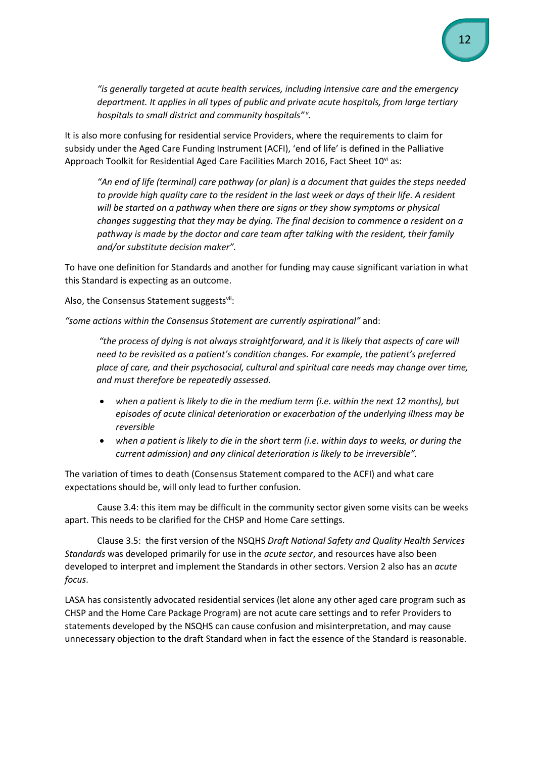*"is generally targeted at acute health services, including intensive care and the emergency department. It applies in all types of public and private acute hospitals, from large tertiary hospitals to small district and community hospitals" <sup>v</sup> .*

It is also more confusing for residential service Providers, where the requirements to claim for subsidy under the Aged Care Funding Instrument (ACFI), 'end of life' is defined in the Palliative Approach Toolkit for Residential Aged Care Facilities March 2016, Fact Sheet  $10^{vi}$  as:

*"An end of life (terminal) care pathway (or plan) is a document that guides the steps needed to provide high quality care to the resident in the last week or days of their life. A resident will be started on a pathway when there are signs or they show symptoms or physical changes suggesting that they may be dying. The final decision to commence a resident on a pathway is made by the doctor and care team after talking with the resident, their family and/or substitute decision maker".*

To have one definition for Standards and another for funding may cause significant variation in what this Standard is expecting as an outcome.

Also, the Consensus Statement suggestsvii:

*"some actions within the Consensus Statement are currently aspirational"* and:

*"the process of dying is not always straightforward, and it is likely that aspects of care will need to be revisited as a patient's condition changes. For example, the patient's preferred place of care, and their psychosocial, cultural and spiritual care needs may change over time, and must therefore be repeatedly assessed.*

- *when a patient is likely to die in the medium term (i.e. within the next 12 months), but episodes of acute clinical deterioration or exacerbation of the underlying illness may be reversible*
- *when a patient is likely to die in the short term (i.e. within days to weeks, or during the current admission) and any clinical deterioration is likely to be irreversible".*

The variation of times to death (Consensus Statement compared to the ACFI) and what care expectations should be, will only lead to further confusion.

Cause 3.4: this item may be difficult in the community sector given some visits can be weeks apart. This needs to be clarified for the CHSP and Home Care settings.

Clause 3.5: the first version of the NSQHS *Draft National Safety and Quality Health Services Standards* was developed primarily for use in the *acute sector*, and resources have also been developed to interpret and implement the Standards in other sectors. Version 2 also has an *acute focus*.

LASA has consistently advocated residential services (let alone any other aged care program such as CHSP and the Home Care Package Program) are not acute care settings and to refer Providers to statements developed by the NSQHS can cause confusion and misinterpretation, and may cause unnecessary objection to the draft Standard when in fact the essence of the Standard is reasonable.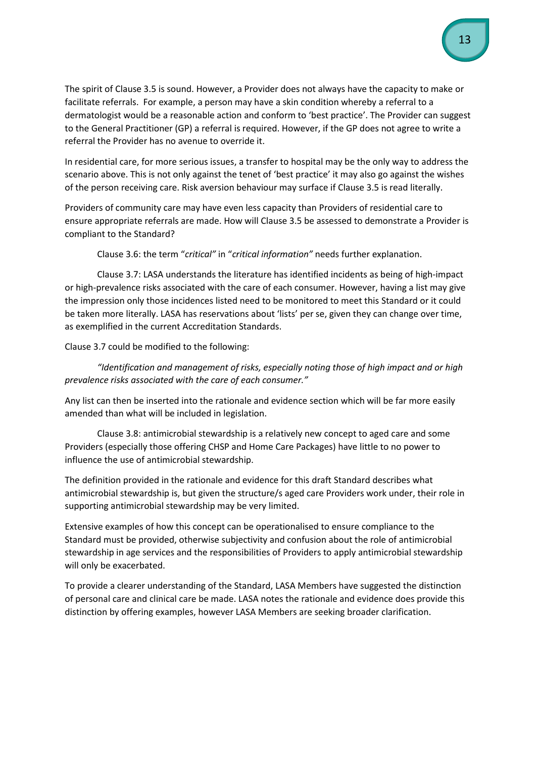The spirit of Clause 3.5 is sound. However, a Provider does not always have the capacity to make or facilitate referrals. For example, a person may have a skin condition whereby a referral to a dermatologist would be a reasonable action and conform to 'best practice'. The Provider can suggest to the General Practitioner (GP) a referral is required. However, if the GP does not agree to write a referral the Provider has no avenue to override it.

In residential care, for more serious issues, a transfer to hospital may be the only way to address the scenario above. This is not only against the tenet of 'best practice' it may also go against the wishes of the person receiving care. Risk aversion behaviour may surface if Clause 3.5 is read literally.

Providers of community care may have even less capacity than Providers of residential care to ensure appropriate referrals are made. How will Clause 3.5 be assessed to demonstrate a Provider is compliant to the Standard?

Clause 3.6: the term "*critical"* in "*critical information"* needs further explanation.

Clause 3.7: LASA understands the literature has identified incidents as being of high-impact or high-prevalence risks associated with the care of each consumer. However, having a list may give the impression only those incidences listed need to be monitored to meet this Standard or it could be taken more literally. LASA has reservations about 'lists' per se, given they can change over time, as exemplified in the current Accreditation Standards.

Clause 3.7 could be modified to the following:

*"Identification and management of risks, especially noting those of high impact and or high prevalence risks associated with the care of each consumer."*

Any list can then be inserted into the rationale and evidence section which will be far more easily amended than what will be included in legislation.

Clause 3.8: antimicrobial stewardship is a relatively new concept to aged care and some Providers (especially those offering CHSP and Home Care Packages) have little to no power to influence the use of antimicrobial stewardship.

The definition provided in the rationale and evidence for this draft Standard describes what antimicrobial stewardship is, but given the structure/s aged care Providers work under, their role in supporting antimicrobial stewardship may be very limited.

Extensive examples of how this concept can be operationalised to ensure compliance to the Standard must be provided, otherwise subjectivity and confusion about the role of antimicrobial stewardship in age services and the responsibilities of Providers to apply antimicrobial stewardship will only be exacerbated.

To provide a clearer understanding of the Standard, LASA Members have suggested the distinction of personal care and clinical care be made. LASA notes the rationale and evidence does provide this distinction by offering examples, however LASA Members are seeking broader clarification.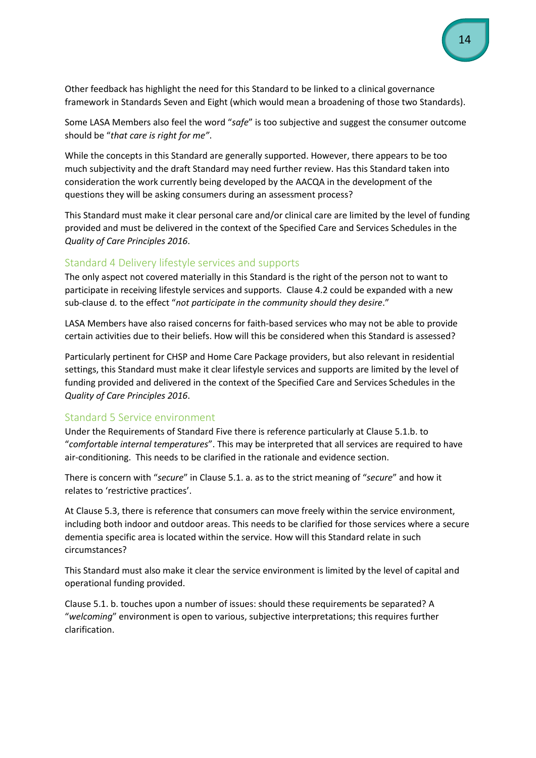Other feedback has highlight the need for this Standard to be linked to a clinical governance framework in Standards Seven and Eight (which would mean a broadening of those two Standards).

Some LASA Members also feel the word "*safe*" is too subjective and suggest the consumer outcome should be "*that care is right for me"*.

While the concepts in this Standard are generally supported. However, there appears to be too much subjectivity and the draft Standard may need further review. Has this Standard taken into consideration the work currently being developed by the AACQA in the development of the questions they will be asking consumers during an assessment process?

This Standard must make it clear personal care and/or clinical care are limited by the level of funding provided and must be delivered in the context of the Specified Care and Services Schedules in the *Quality of Care Principles 2016*.

#### <span id="page-13-0"></span>Standard 4 Delivery lifestyle services and supports

The only aspect not covered materially in this Standard is the right of the person not to want to participate in receiving lifestyle services and supports. Clause 4.2 could be expanded with a new sub-clause d*.* to the effect "*not participate in the community should they desire*."

LASA Members have also raised concerns for faith-based services who may not be able to provide certain activities due to their beliefs. How will this be considered when this Standard is assessed?

Particularly pertinent for CHSP and Home Care Package providers, but also relevant in residential settings, this Standard must make it clear lifestyle services and supports are limited by the level of funding provided and delivered in the context of the Specified Care and Services Schedules in the *Quality of Care Principles 2016*.

#### <span id="page-13-1"></span>Standard 5 Service environment

Under the Requirements of Standard Five there is reference particularly at Clause 5.1.b. to "*comfortable internal temperatures*". This may be interpreted that all services are required to have air-conditioning. This needs to be clarified in the rationale and evidence section.

There is concern with "*secure*" in Clause 5.1. a. as to the strict meaning of "*secure*" and how it relates to 'restrictive practices'.

At Clause 5.3, there is reference that consumers can move freely within the service environment, including both indoor and outdoor areas. This needs to be clarified for those services where a secure dementia specific area is located within the service. How will this Standard relate in such circumstances?

This Standard must also make it clear the service environment is limited by the level of capital and operational funding provided.

Clause 5.1. b. touches upon a number of issues: should these requirements be separated? A "*welcoming*" environment is open to various, subjective interpretations; this requires further clarification.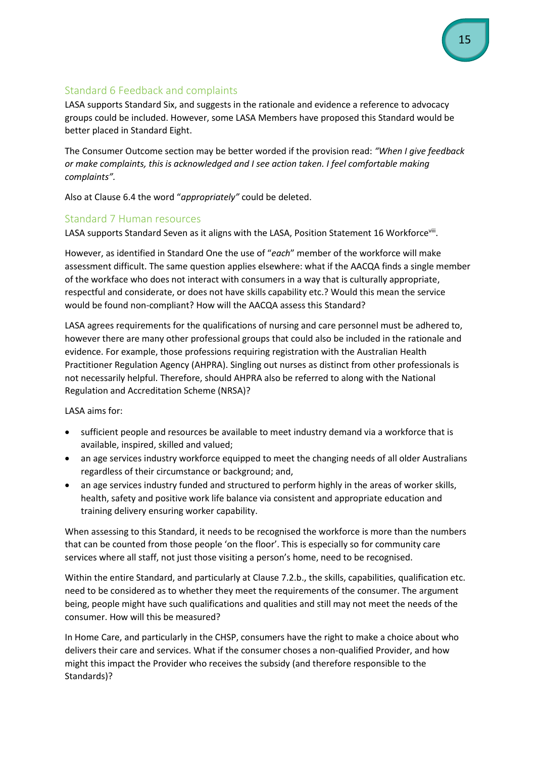#### <span id="page-14-0"></span>Standard 6 Feedback and complaints

LASA supports Standard Six, and suggests in the rationale and evidence a reference to advocacy groups could be included. However, some LASA Members have proposed this Standard would be better placed in Standard Eight.

The Consumer Outcome section may be better worded if the provision read: *"When I give feedback or make complaints, this is acknowledged and I see action taken. I feel comfortable making complaints".*

Also at Clause 6.4 the word "*appropriately"* could be deleted.

#### <span id="page-14-1"></span>Standard 7 Human resources

LASA supports Standard Seven as it aligns with the LASA, Position Statement 16 Workforcevill.

However, as identified in Standard One the use of "*each*" member of the workforce will make assessment difficult. The same question applies elsewhere: what if the AACQA finds a single member of the workface who does not interact with consumers in a way that is culturally appropriate, respectful and considerate, or does not have skills capability etc.? Would this mean the service would be found non-compliant? How will the AACQA assess this Standard?

LASA agrees requirements for the qualifications of nursing and care personnel must be adhered to, however there are many other professional groups that could also be included in the rationale and evidence. For example, those professions requiring registration with the Australian Health Practitioner Regulation Agency (AHPRA). Singling out nurses as distinct from other professionals is not necessarily helpful. Therefore, should AHPRA also be referred to along with the National Regulation and Accreditation Scheme (NRSA)?

LASA aims for:

- sufficient people and resources be available to meet industry demand via a workforce that is available, inspired, skilled and valued;
- an age services industry workforce equipped to meet the changing needs of all older Australians regardless of their circumstance or background; and,
- an age services industry funded and structured to perform highly in the areas of worker skills, health, safety and positive work life balance via consistent and appropriate education and training delivery ensuring worker capability.

When assessing to this Standard, it needs to be recognised the workforce is more than the numbers that can be counted from those people 'on the floor'. This is especially so for community care services where all staff, not just those visiting a person's home, need to be recognised.

Within the entire Standard, and particularly at Clause 7.2.b., the skills, capabilities, qualification etc. need to be considered as to whether they meet the requirements of the consumer. The argument being, people might have such qualifications and qualities and still may not meet the needs of the consumer. How will this be measured?

In Home Care, and particularly in the CHSP, consumers have the right to make a choice about who delivers their care and services. What if the consumer choses a non-qualified Provider, and how might this impact the Provider who receives the subsidy (and therefore responsible to the Standards)?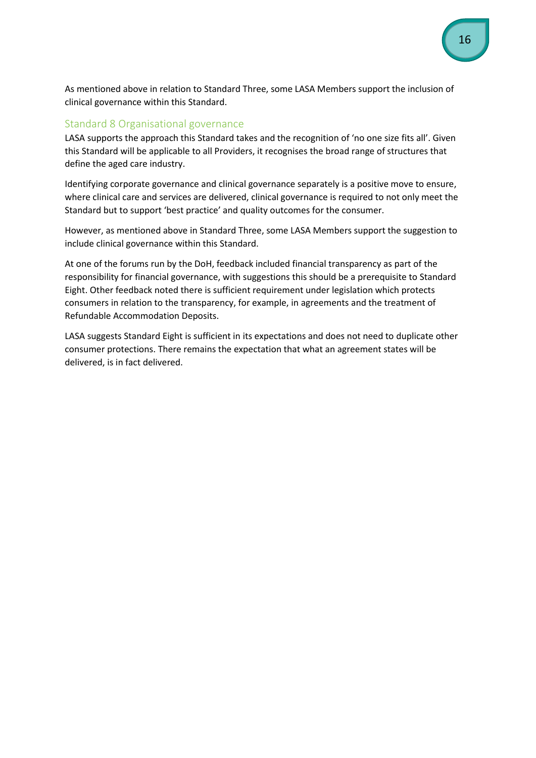As mentioned above in relation to Standard Three, some LASA Members support the inclusion of clinical governance within this Standard.

#### <span id="page-15-0"></span>Standard 8 Organisational governance

LASA supports the approach this Standard takes and the recognition of 'no one size fits all'. Given this Standard will be applicable to all Providers, it recognises the broad range of structures that define the aged care industry.

Identifying corporate governance and clinical governance separately is a positive move to ensure, where clinical care and services are delivered, clinical governance is required to not only meet the Standard but to support 'best practice' and quality outcomes for the consumer.

However, as mentioned above in Standard Three, some LASA Members support the suggestion to include clinical governance within this Standard.

At one of the forums run by the DoH, feedback included financial transparency as part of the responsibility for financial governance, with suggestions this should be a prerequisite to Standard Eight. Other feedback noted there is sufficient requirement under legislation which protects consumers in relation to the transparency, for example, in agreements and the treatment of Refundable Accommodation Deposits.

LASA suggests Standard Eight is sufficient in its expectations and does not need to duplicate other consumer protections. There remains the expectation that what an agreement states will be delivered, is in fact delivered.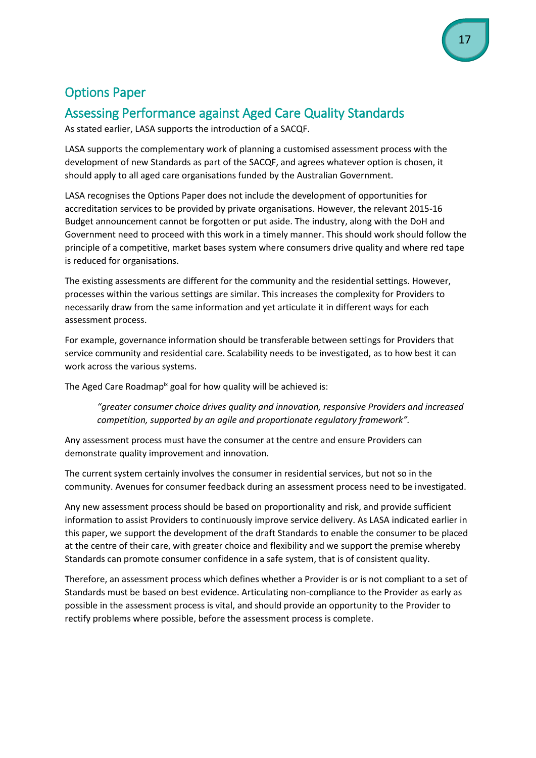## <span id="page-16-0"></span>Options Paper

## <span id="page-16-1"></span>Assessing Performance against Aged Care Quality Standards

As stated earlier, LASA supports the introduction of a SACQF.

LASA supports the complementary work of planning a customised assessment process with the development of new Standards as part of the SACQF, and agrees whatever option is chosen, it should apply to all aged care organisations funded by the Australian Government.

LASA recognises the Options Paper does not include the development of opportunities for accreditation services to be provided by private organisations. However, the relevant 2015-16 Budget announcement cannot be forgotten or put aside. The industry, along with the DoH and Government need to proceed with this work in a timely manner. This should work should follow the principle of a competitive, market bases system where consumers drive quality and where red tape is reduced for organisations.

The existing assessments are different for the community and the residential settings. However, processes within the various settings are similar. This increases the complexity for Providers to necessarily draw from the same information and yet articulate it in different ways for each assessment process.

For example, governance information should be transferable between settings for Providers that service community and residential care. Scalability needs to be investigated, as to how best it can work across the various systems.

The Aged Care Roadmap<sup>ix</sup> goal for how quality will be achieved is:

*"greater consumer choice drives quality and innovation, responsive Providers and increased competition, supported by an agile and proportionate regulatory framework".*

Any assessment process must have the consumer at the centre and ensure Providers can demonstrate quality improvement and innovation.

The current system certainly involves the consumer in residential services, but not so in the community. Avenues for consumer feedback during an assessment process need to be investigated.

Any new assessment process should be based on proportionality and risk, and provide sufficient information to assist Providers to continuously improve service delivery. As LASA indicated earlier in this paper, we support the development of the draft Standards to enable the consumer to be placed at the centre of their care, with greater choice and flexibility and we support the premise whereby Standards can promote consumer confidence in a safe system, that is of consistent quality.

Therefore, an assessment process which defines whether a Provider is or is not compliant to a set of Standards must be based on best evidence. Articulating non-compliance to the Provider as early as possible in the assessment process is vital, and should provide an opportunity to the Provider to rectify problems where possible, before the assessment process is complete.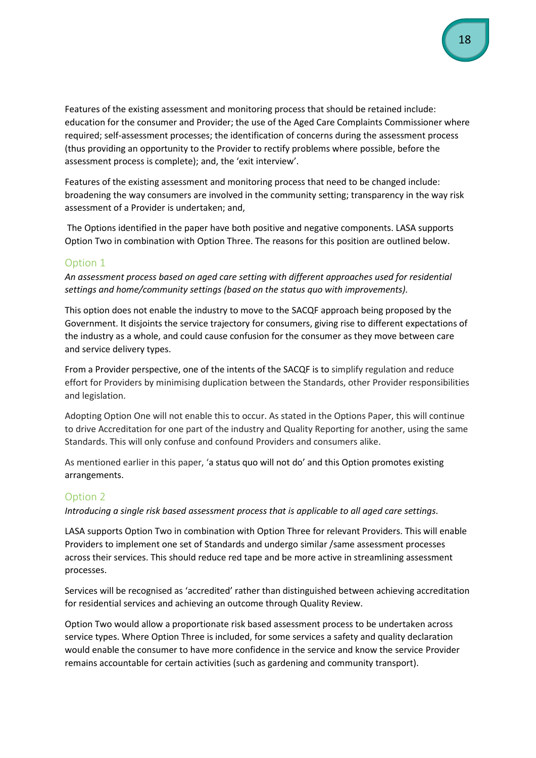Features of the existing assessment and monitoring process that should be retained include: education for the consumer and Provider; the use of the Aged Care Complaints Commissioner where required; self-assessment processes; the identification of concerns during the assessment process (thus providing an opportunity to the Provider to rectify problems where possible, before the assessment process is complete); and, the 'exit interview'.

Features of the existing assessment and monitoring process that need to be changed include: broadening the way consumers are involved in the community setting; transparency in the way risk assessment of a Provider is undertaken; and,

The Options identified in the paper have both positive and negative components. LASA supports Option Two in combination with Option Three. The reasons for this position are outlined below.

#### <span id="page-17-0"></span>Option 1

*An assessment process based on aged care setting with different approaches used for residential settings and home/community settings (based on the status quo with improvements).*

This option does not enable the industry to move to the SACQF approach being proposed by the Government. It disjoints the service trajectory for consumers, giving rise to different expectations of the industry as a whole, and could cause confusion for the consumer as they move between care and service delivery types.

From a Provider perspective, one of the intents of the SACQF is to simplify regulation and reduce effort for Providers by minimising duplication between the Standards, other Provider responsibilities and legislation.

Adopting Option One will not enable this to occur. As stated in the Options Paper, this will continue to drive Accreditation for one part of the industry and Quality Reporting for another, using the same Standards. This will only confuse and confound Providers and consumers alike.

As mentioned earlier in this paper, 'a status quo will not do' and this Option promotes existing arrangements.

#### <span id="page-17-1"></span>Option 2

*Introducing a single risk based assessment process that is applicable to all aged care settings.*

LASA supports Option Two in combination with Option Three for relevant Providers. This will enable Providers to implement one set of Standards and undergo similar /same assessment processes across their services. This should reduce red tape and be more active in streamlining assessment processes.

Services will be recognised as 'accredited' rather than distinguished between achieving accreditation for residential services and achieving an outcome through Quality Review.

Option Two would allow a proportionate risk based assessment process to be undertaken across service types. Where Option Three is included, for some services a safety and quality declaration would enable the consumer to have more confidence in the service and know the service Provider remains accountable for certain activities (such as gardening and community transport).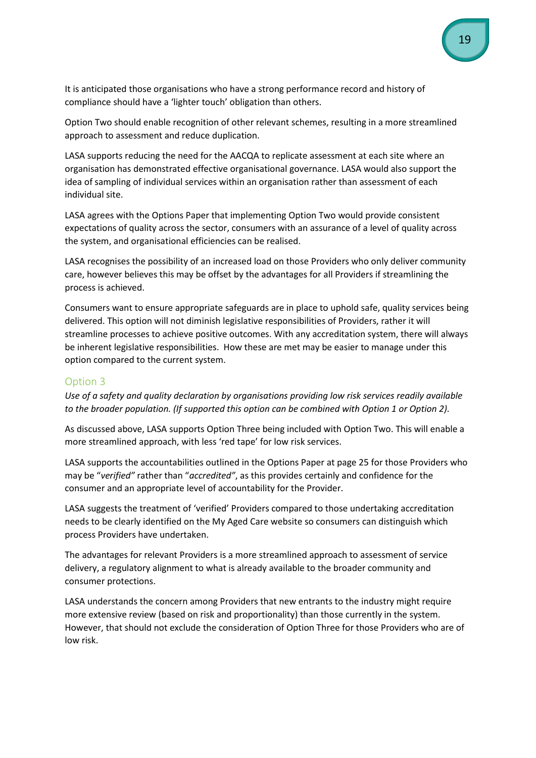It is anticipated those organisations who have a strong performance record and history of compliance should have a 'lighter touch' obligation than others.

Option Two should enable recognition of other relevant schemes, resulting in a more streamlined approach to assessment and reduce duplication.

LASA supports reducing the need for the AACQA to replicate assessment at each site where an organisation has demonstrated effective organisational governance. LASA would also support the idea of sampling of individual services within an organisation rather than assessment of each individual site.

LASA agrees with the Options Paper that implementing Option Two would provide consistent expectations of quality across the sector, consumers with an assurance of a level of quality across the system, and organisational efficiencies can be realised.

LASA recognises the possibility of an increased load on those Providers who only deliver community care, however believes this may be offset by the advantages for all Providers if streamlining the process is achieved.

Consumers want to ensure appropriate safeguards are in place to uphold safe, quality services being delivered. This option will not diminish legislative responsibilities of Providers, rather it will streamline processes to achieve positive outcomes. With any accreditation system, there will always be inherent legislative responsibilities. How these are met may be easier to manage under this option compared to the current system.

#### <span id="page-18-0"></span>Option 3

*Use of a safety and quality declaration by organisations providing low risk services readily available to the broader population. (If supported this option can be combined with Option 1 or Option 2).*

As discussed above, LASA supports Option Three being included with Option Two. This will enable a more streamlined approach, with less 'red tape' for low risk services.

LASA supports the accountabilities outlined in the Options Paper at page 25 for those Providers who may be "*verified"* rather than "*accredited"*, as this provides certainly and confidence for the consumer and an appropriate level of accountability for the Provider.

LASA suggests the treatment of 'verified' Providers compared to those undertaking accreditation needs to be clearly identified on the My Aged Care website so consumers can distinguish which process Providers have undertaken.

The advantages for relevant Providers is a more streamlined approach to assessment of service delivery, a regulatory alignment to what is already available to the broader community and consumer protections.

LASA understands the concern among Providers that new entrants to the industry might require more extensive review (based on risk and proportionality) than those currently in the system. However, that should not exclude the consideration of Option Three for those Providers who are of low risk.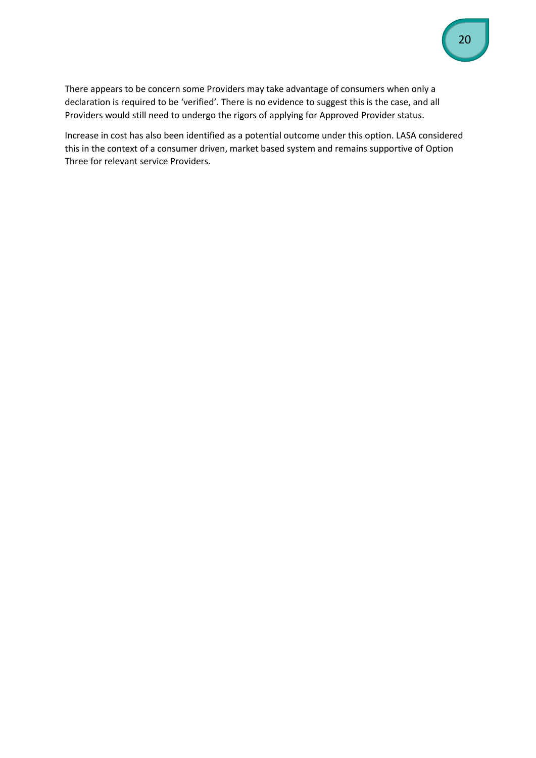There appears to be concern some Providers may take advantage of consumers when only a declaration is required to be 'verified'. There is no evidence to suggest this is the case, and all Providers would still need to undergo the rigors of applying for Approved Provider status.

Increase in cost has also been identified as a potential outcome under this option. LASA considered this in the context of a consumer driven, market based system and remains supportive of Option Three for relevant service Providers.